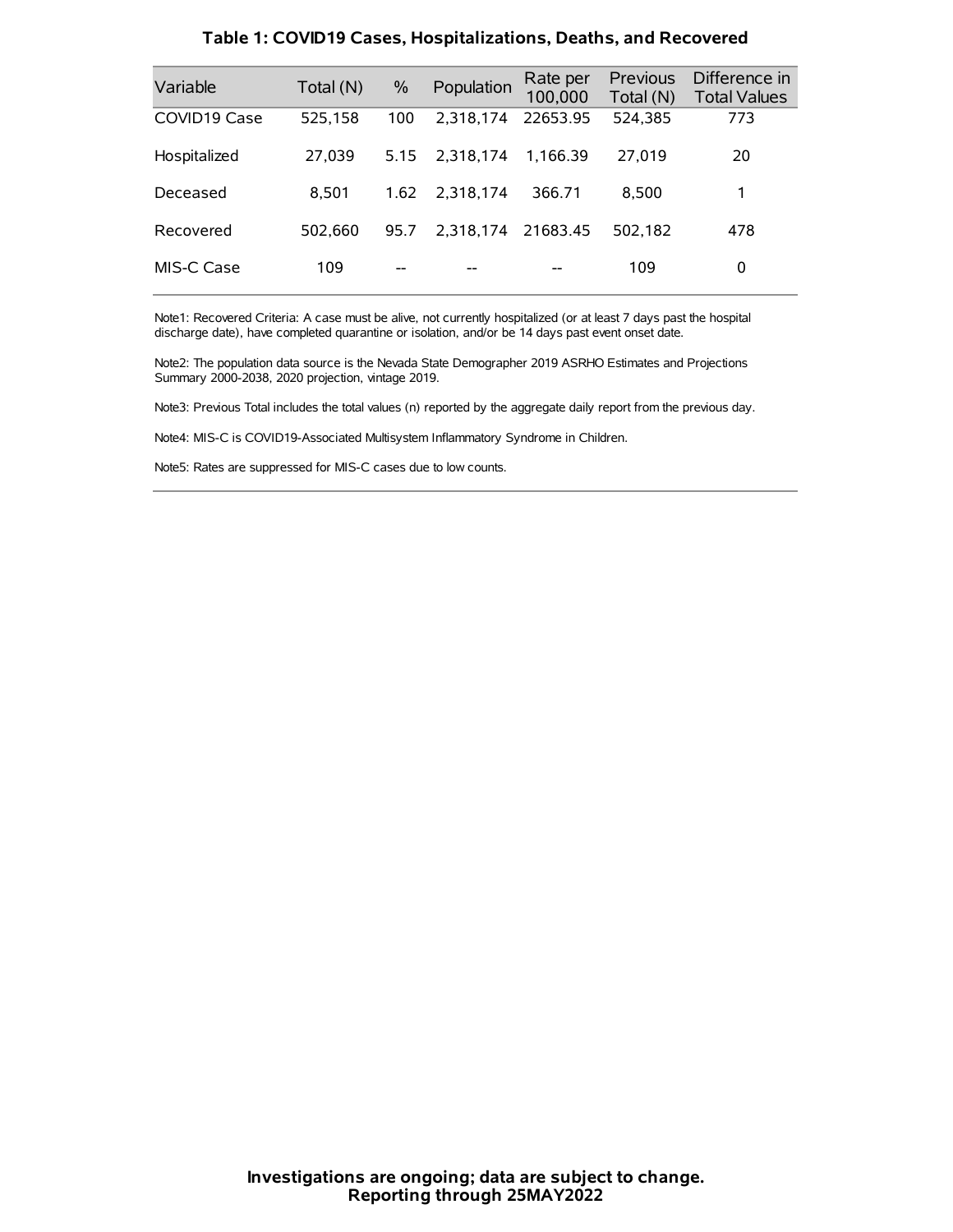| Variable     | Total (N) | $\frac{0}{0}$ | Population | Rate per<br>100,000 | Previous<br>Total (N) | Difference in<br><b>Total Values</b> |
|--------------|-----------|---------------|------------|---------------------|-----------------------|--------------------------------------|
| COVID19 Case | 525,158   | 100           | 2.318.174  | 22653.95            | 524,385               | 773                                  |
| Hospitalized | 27,039    | 5.15          | 2.318.174  | 1.166.39            | 27.019                | 20                                   |
| Deceased     | 8.501     | 1.62          | 2.318.174  | 366.71              | 8.500                 | 1                                    |
| Recovered    | 502.660   | 95.7          | 2.318.174  | 21683.45            | 502.182               | 478                                  |
| MIS-C Case   | 109       | --            |            |                     | 109                   | 0                                    |

#### **Table 1: COVID19 Cases, Hospitalizations, Deaths, and Recovered**

Note1: Recovered Criteria: A case must be alive, not currently hospitalized (or at least 7 days past the hospital discharge date), have completed quarantine or isolation, and/or be 14 days past event onset date.

Note2: The population data source is the Nevada State Demographer 2019 ASRHO Estimates and Projections Summary 2000-2038, 2020 projection, vintage 2019.

Note3: Previous Total includes the total values (n) reported by the aggregate daily report from the previous day.

Note4: MIS-C is COVID19-Associated Multisystem Inflammatory Syndrome in Children.

Note5: Rates are suppressed for MIS-C cases due to low counts.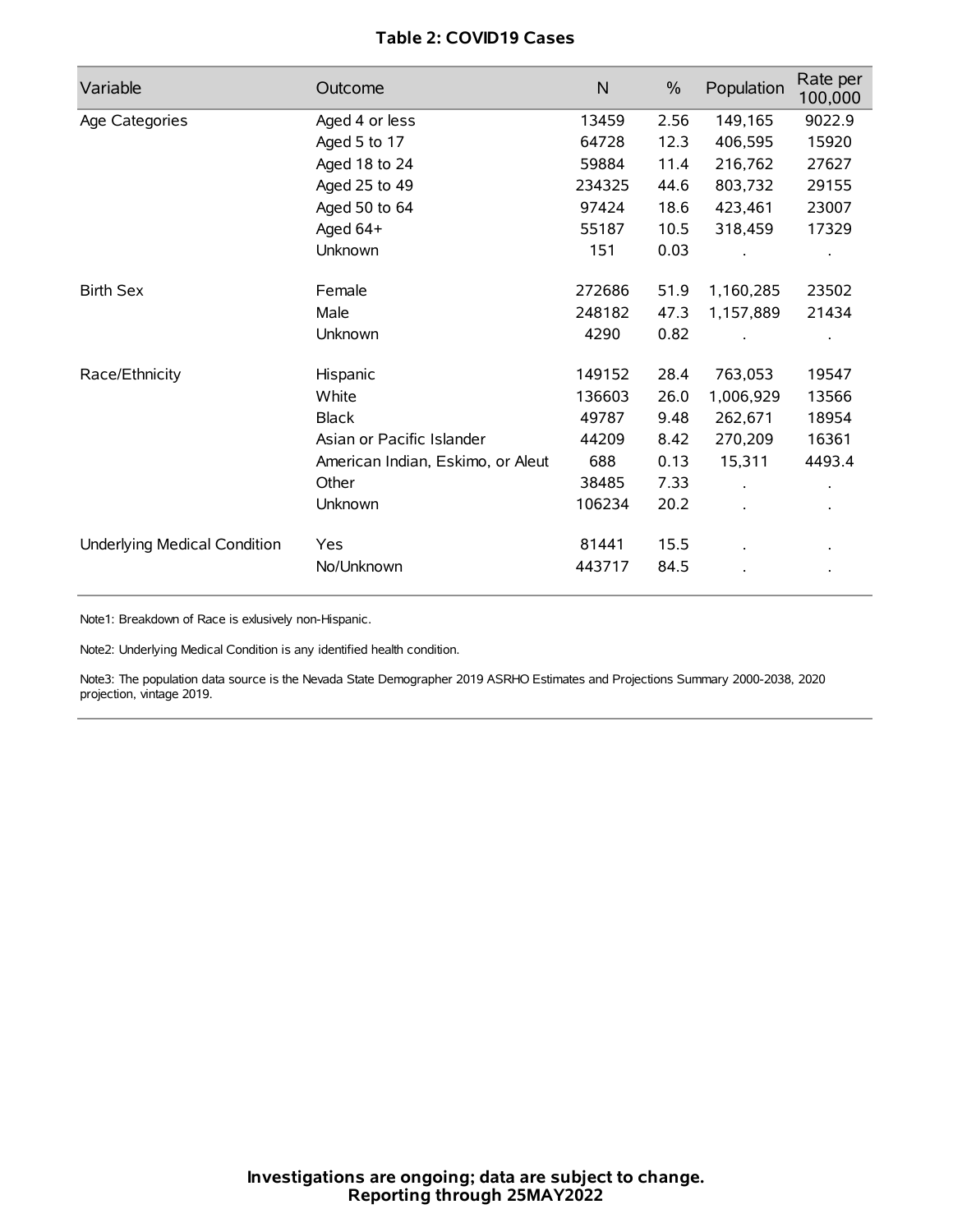# **Table 2: COVID19 Cases**

| Variable                     | Outcome                           | $\mathsf{N}$ | $\%$ | Population | Rate per<br>100,000  |
|------------------------------|-----------------------------------|--------------|------|------------|----------------------|
| Age Categories               | Aged 4 or less                    | 13459        | 2.56 | 149,165    | 9022.9               |
|                              | Aged 5 to 17                      | 64728        | 12.3 | 406,595    | 15920                |
|                              | Aged 18 to 24                     | 59884        | 11.4 | 216,762    | 27627                |
|                              | Aged 25 to 49                     | 234325       | 44.6 | 803,732    | 29155                |
|                              | Aged 50 to 64                     | 97424        | 18.6 | 423,461    | 23007                |
|                              | Aged 64+                          | 55187        | 10.5 | 318,459    | 17329                |
|                              | Unknown                           | 151          | 0.03 |            |                      |
| <b>Birth Sex</b>             | Female                            | 272686       | 51.9 | 1,160,285  | 23502                |
|                              | Male                              | 248182       | 47.3 | 1,157,889  | 21434                |
|                              | Unknown                           | 4290         | 0.82 |            |                      |
| Race/Ethnicity               | Hispanic                          | 149152       | 28.4 | 763,053    | 19547                |
|                              | White                             | 136603       | 26.0 | 1,006,929  | 13566                |
|                              | <b>Black</b>                      | 49787        | 9.48 | 262,671    | 18954                |
|                              | Asian or Pacific Islander         | 44209        | 8.42 | 270,209    | 16361                |
|                              | American Indian, Eskimo, or Aleut | 688          | 0.13 | 15,311     | 4493.4               |
|                              | Other                             | 38485        | 7.33 |            | $\ddot{\phantom{0}}$ |
|                              | <b>Unknown</b>                    | 106234       | 20.2 |            |                      |
| Underlying Medical Condition | Yes                               | 81441        | 15.5 |            |                      |
|                              | No/Unknown                        | 443717       | 84.5 |            |                      |

Note1: Breakdown of Race is exlusively non-Hispanic.

Note2: Underlying Medical Condition is any identified health condition.

Note3: The population data source is the Nevada State Demographer 2019 ASRHO Estimates and Projections Summary 2000-2038, 2020 projection, vintage 2019.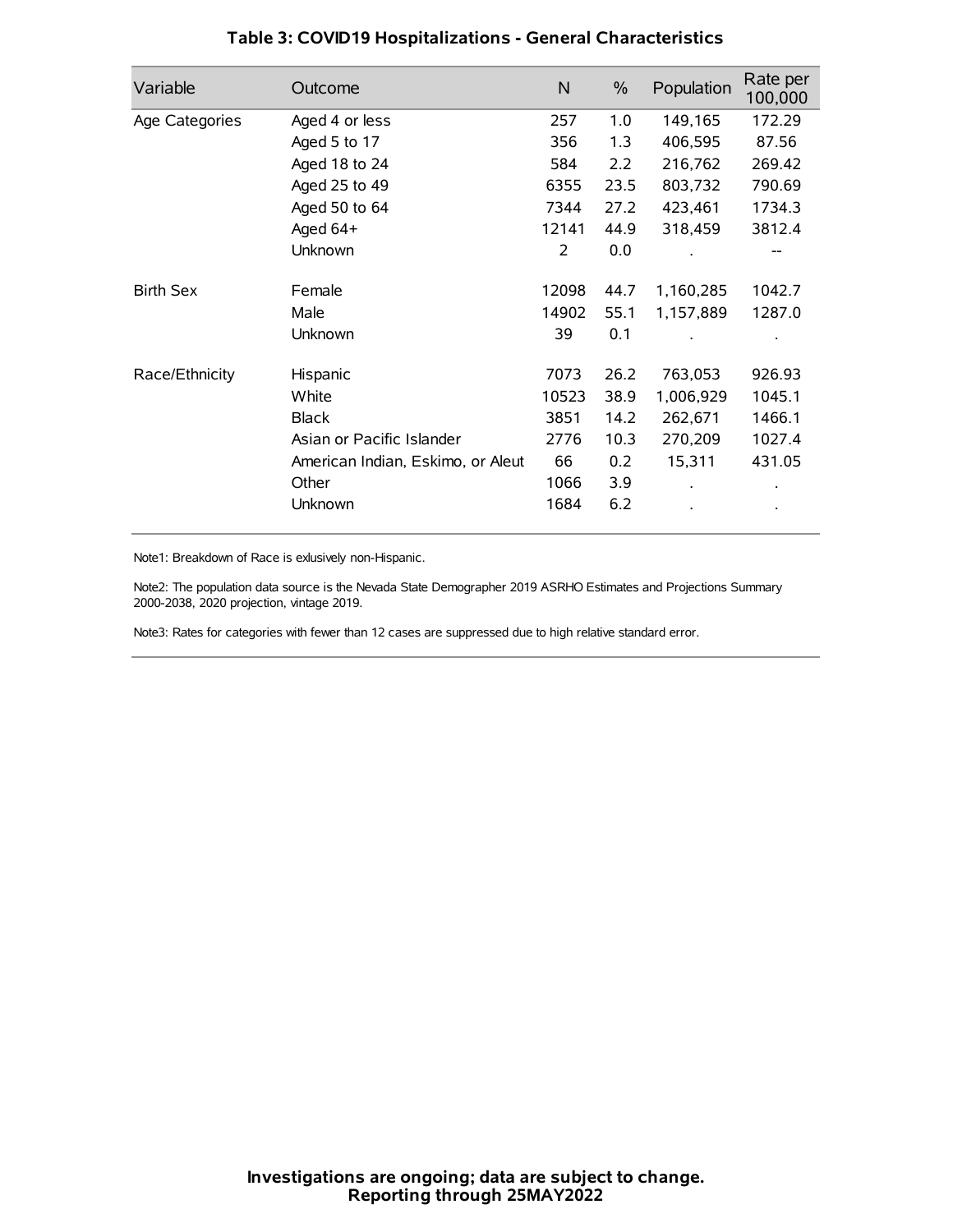| Variable         | Outcome                           | $\mathsf{N}$ | $\%$ | Population | Rate per<br>100,000 |
|------------------|-----------------------------------|--------------|------|------------|---------------------|
| Age Categories   | Aged 4 or less                    | 257          | 1.0  | 149,165    | 172.29              |
|                  | Aged 5 to 17                      | 356          | 1.3  | 406,595    | 87.56               |
|                  | Aged 18 to 24                     | 584          | 2.2  | 216,762    | 269.42              |
|                  | Aged 25 to 49                     | 6355         | 23.5 | 803,732    | 790.69              |
|                  | Aged 50 to 64                     | 7344         | 27.2 | 423,461    | 1734.3              |
|                  | Aged 64+                          | 12141        | 44.9 | 318,459    | 3812.4              |
|                  | Unknown                           | 2            | 0.0  |            |                     |
| <b>Birth Sex</b> | Female                            | 12098        | 44.7 | 1,160,285  | 1042.7              |
|                  | Male                              | 14902        | 55.1 | 1,157,889  | 1287.0              |
|                  | Unknown                           | 39           | 0.1  |            |                     |
| Race/Ethnicity   | Hispanic                          | 7073         | 26.2 | 763,053    | 926.93              |
|                  | White                             | 10523        | 38.9 | 1,006,929  | 1045.1              |
|                  | <b>Black</b>                      | 3851         | 14.2 | 262,671    | 1466.1              |
|                  | Asian or Pacific Islander         | 2776         | 10.3 | 270,209    | 1027.4              |
|                  | American Indian, Eskimo, or Aleut | 66           | 0.2  | 15,311     | 431.05              |
|                  | Other                             | 1066         | 3.9  |            |                     |
|                  | Unknown                           | 1684         | 6.2  |            |                     |

# **Table 3: COVID19 Hospitalizations - General Characteristics**

Note1: Breakdown of Race is exlusively non-Hispanic.

Note2: The population data source is the Nevada State Demographer 2019 ASRHO Estimates and Projections Summary 2000-2038, 2020 projection, vintage 2019.

Note3: Rates for categories with fewer than 12 cases are suppressed due to high relative standard error.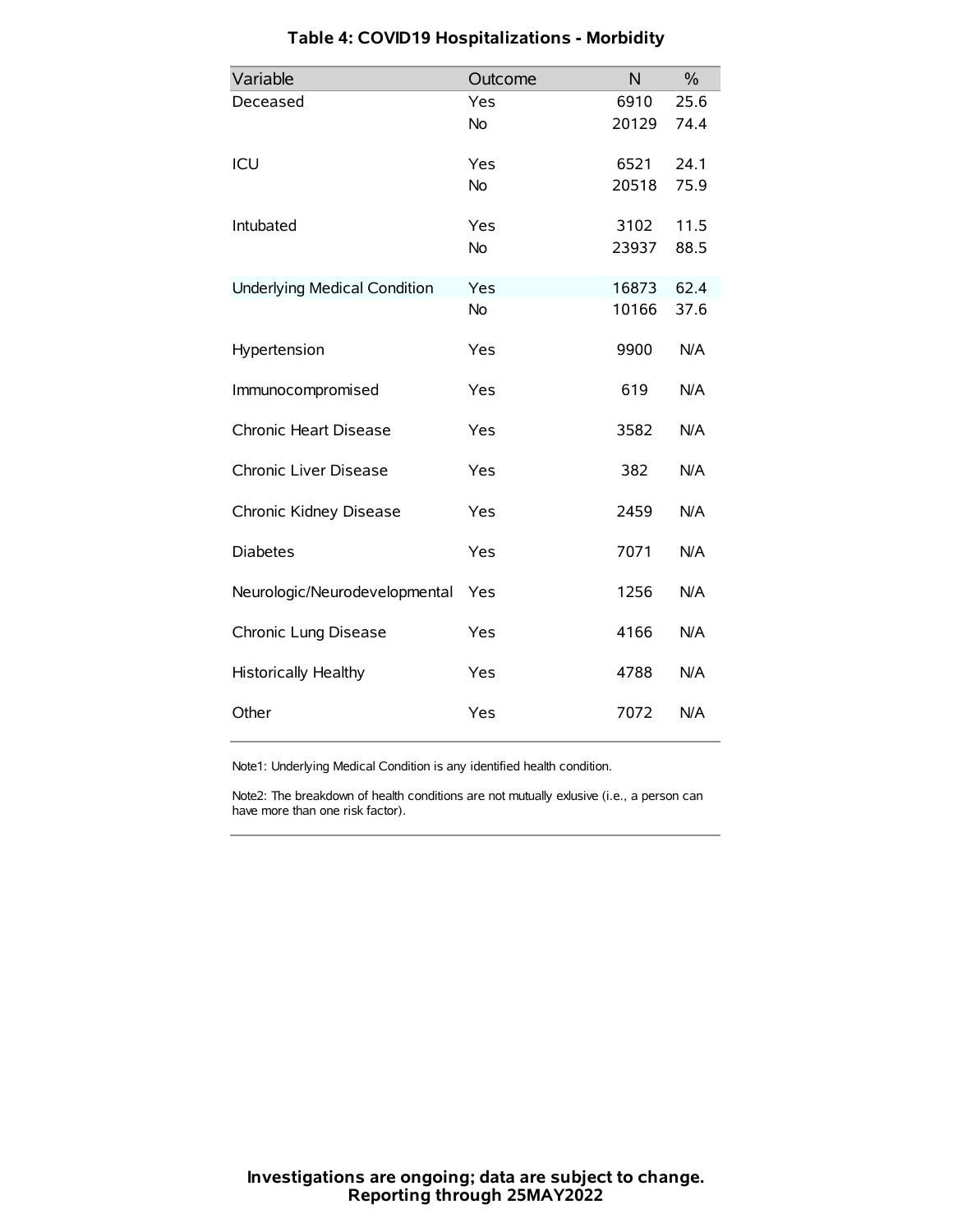| Variable                            | Outcome   | N     | $\%$ |
|-------------------------------------|-----------|-------|------|
| Deceased                            | Yes       | 6910  | 25.6 |
|                                     | No        | 20129 | 74.4 |
| ICU                                 | Yes       | 6521  | 24.1 |
|                                     | <b>No</b> | 20518 | 75.9 |
| Intubated                           | Yes       | 3102  | 11.5 |
|                                     | No        | 23937 | 88.5 |
| <b>Underlying Medical Condition</b> | Yes       | 16873 | 62.4 |
|                                     | <b>No</b> | 10166 | 37.6 |
| Hypertension                        | Yes       | 9900  | N/A  |
| Immunocompromised                   | Yes       | 619   | N/A  |
| Chronic Heart Disease               | Yes       | 3582  | N/A  |
| Chronic Liver Disease               | Yes       | 382   | N/A  |
| Chronic Kidney Disease              | Yes       | 2459  | N/A  |
| <b>Diabetes</b>                     | Yes       | 7071  | N/A  |
| Neurologic/Neurodevelopmental       | Yes       | 1256  | N/A  |
| Chronic Lung Disease                | Yes       | 4166  | N/A  |
| Historically Healthy                | Yes       | 4788  | N/A  |
| Other                               | Yes       | 7072  | N/A  |

# **Table 4: COVID19 Hospitalizations - Morbidity**

Note1: Underlying Medical Condition is any identified health condition.

Note2: The breakdown of health conditions are not mutually exlusive (i.e., a person can have more than one risk factor).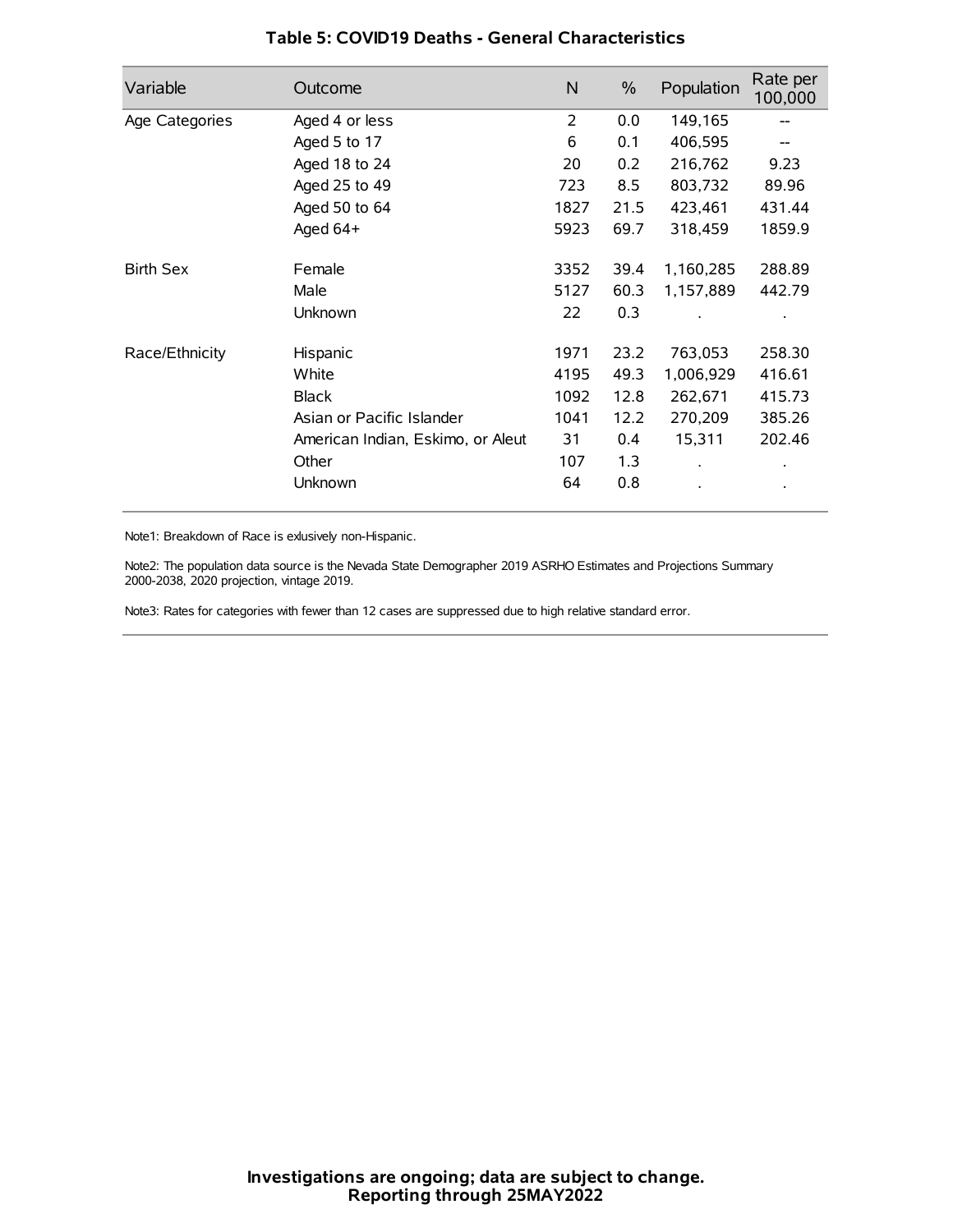| Variable         | Outcome                           | N    | $\frac{0}{0}$ | Population | Rate per<br>100,000 |
|------------------|-----------------------------------|------|---------------|------------|---------------------|
| Age Categories   | Aged 4 or less                    | 2    | 0.0           | 149,165    |                     |
|                  | Aged 5 to 17                      | 6    | 0.1           | 406,595    |                     |
|                  | Aged 18 to 24                     | 20   | 0.2           | 216,762    | 9.23                |
|                  | Aged 25 to 49                     | 723  | 8.5           | 803,732    | 89.96               |
|                  | Aged 50 to 64                     | 1827 | 21.5          | 423,461    | 431.44              |
|                  | Aged 64+                          | 5923 | 69.7          | 318,459    | 1859.9              |
| <b>Birth Sex</b> | Female                            | 3352 | 39.4          | 1,160,285  | 288.89              |
|                  | Male                              | 5127 | 60.3          | 1,157,889  | 442.79              |
|                  | Unknown                           | 22   | 0.3           |            |                     |
| Race/Ethnicity   | Hispanic                          | 1971 | 23.2          | 763,053    | 258.30              |
|                  | White                             | 4195 | 49.3          | 1,006,929  | 416.61              |
|                  | <b>Black</b>                      | 1092 | 12.8          | 262,671    | 415.73              |
|                  | Asian or Pacific Islander         | 1041 | 12.2          | 270,209    | 385.26              |
|                  | American Indian, Eskimo, or Aleut | 31   | 0.4           | 15,311     | 202.46              |
|                  | Other                             | 107  | 1.3           |            |                     |
|                  | Unknown                           | 64   | 0.8           |            |                     |

## **Table 5: COVID19 Deaths - General Characteristics**

Note1: Breakdown of Race is exlusively non-Hispanic.

Note2: The population data source is the Nevada State Demographer 2019 ASRHO Estimates and Projections Summary 2000-2038, 2020 projection, vintage 2019.

Note3: Rates for categories with fewer than 12 cases are suppressed due to high relative standard error.